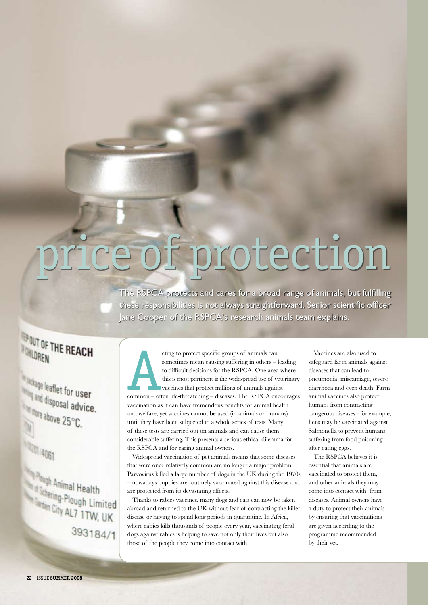# of protection

The RSPCA protects and cares for a broad range of animals, but fulfilling these responsibilities is not always straightforward. Senior scientific officer Jane Cooper of the RSPCA's research animals team explains.

# **TEP OUT OF THE REACH INTERNATION**

*<u>Sandage</u>* leaflet for user and disposal advice. alsposal adv 国

110014061

Paugh Animal Health Though Animal Health<br>If Schering-Plough Limited<br>Than City AL7 1TW, UK Schering-Plough Limited<br>Sarden City AL7 1TW, UK 393184/1

cting to protect specific groups of animals can<br>
sometimes mean causing suffering in others – leading<br>
to difficult decisions for the RSPCA. One area where<br>
this is most pertinent is the widespread use of veterinary<br>
vacci sometimes mean causing suffering in others – leading to difficult decisions for the RSPCA. One area where this is most pertinent is the widespread use of veterinary vaccines that protect millions of animals against vaccination as it can have tremendous benefits for animal health and welfare, yet vaccines cannot be used (in animals or humans) until they have been subjected to a whole series of tests. Many of these tests are carried out on animals and can cause them considerable suffering. This presents a serious ethical dilemma for the RSPCA and for caring animal owners.

Widespread vaccination of pet animals means that some diseases that were once relatively common are no longer a major problem. Parvovirus killed a large number of dogs in the UK during the 1970s – nowadays puppies are routinely vaccinated against this disease and are protected from its devastating effects.

Thanks to rabies vaccines, many dogs and cats can now be taken abroad and returned to the UK without fear of contracting the killer disease or having to spend long periods in quarantine. In Africa, where rabies kills thousands of people every year, vaccinating feral dogs against rabies is helping to save not only their lives but also those of the people they come into contact with.

Vaccines are also used to safeguard farm animals against diseases that can lead to pneumonia, miscarriage, severe diarrhoea and even death. Farm animal vaccines also protect humans from contracting dangerous diseases – for example, hens may be vaccinated against Salmonella to prevent humans suffering from food poisoning after eating eggs.

The RSPCA believes it is essential that animals are vaccinated to protect them, and other animals they may come into contact with, from diseases. Animal owners have a duty to protect their animals by ensuring that vaccinations are given according to the programme recommended by their vet.